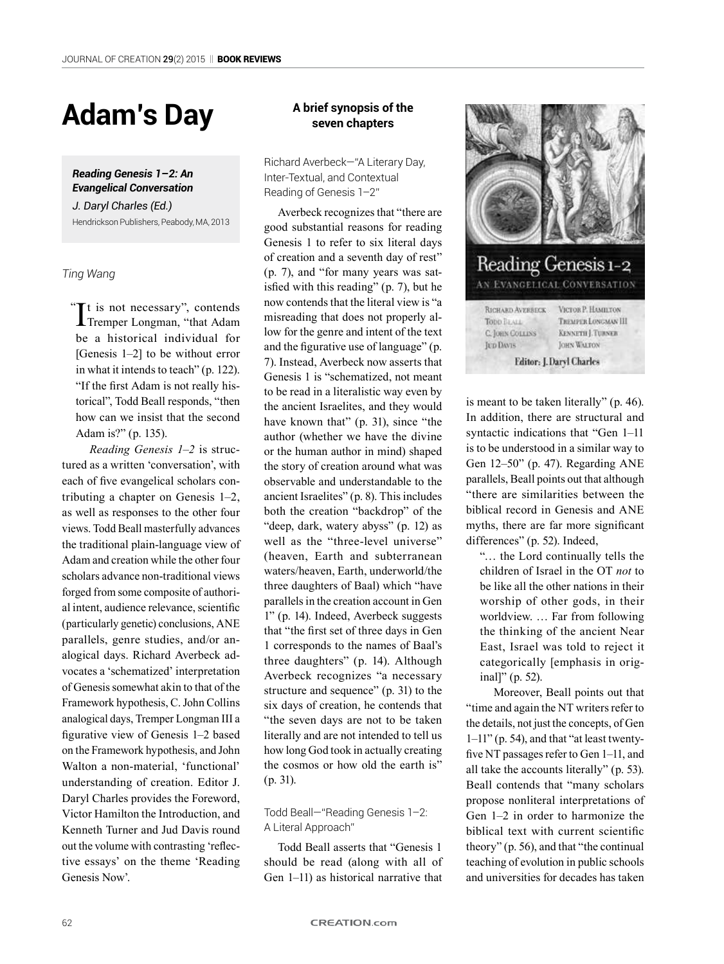# **Adam's Day**

*Reading Genesis 1–2: An Evangelical Conversation*

*J. Daryl Charles (Ed.)* Hendrickson Publishers, Peabody, MA, 2013

*Ting Wang*

It is not necessary", contends<br>Tremper Longman, "that Adam **T**Tremper Longman, "that Adam be a historical individual for [Genesis 1–2] to be without error in what it intends to teach" (p. 122). "If the first Adam is not really historical", Todd Beall responds, "then how can we insist that the second Adam is?" (p. 135).  $\ddot{\phantom{0}}$ 

*Reading Genesis 1–2* is structured as a written 'conversation', with each of five evangelical scholars contributing a chapter on Genesis 1–2, as well as responses to the other four views. Todd Beall masterfully advances the traditional plain-language view of Adam and creation while the other four scholars advance non-traditional views forged from some composite of authorial intent, audience relevance, scientific (particularly genetic) conclusions, ANE parallels, genre studies, and/or analogical days. Richard Averbeck advocates a 'schematized' interpretation of Genesis somewhat akin to that of the Framework hypothesis, C. John Collins analogical days, Tremper Longman III a figurative view of Genesis 1–2 based on the Framework hypothesis, and John Walton a non-material, 'functional' understanding of creation. Editor J. Daryl Charles provides the Foreword, Victor Hamilton the Introduction, and Kenneth Turner and Jud Davis round out the volume with contrasting 'reflective essays' on the theme 'Reading Genesis Now'.

# **A brief synopsis of the seven chapters**

Richard Averbeck—"A Literary Day, Inter-Textual, and Contextual Reading of Genesis 1–2"

Averbeck recognizes that "there are good substantial reasons for reading Genesis 1 to refer to six literal days of creation and a seventh day of rest" (p. 7), and "for many years was satisfied with this reading" (p. 7), but he now contends that the literal view is "a misreading that does not properly allow for the genre and intent of the text and the figurative use of language" (p. 7). Instead, Averbeck now asserts that Genesis 1 is "schematized, not meant to be read in a literalistic way even by the ancient Israelites, and they would have known that" (p. 31), since "the author (whether we have the divine or the human author in mind) shaped the story of creation around what was observable and understandable to the ancient Israelites" (p. 8). This includes both the creation "backdrop" of the "deep, dark, watery abyss" (p. 12) as well as the "three-level universe" (heaven, Earth and subterranean waters/heaven, Earth, underworld/the three daughters of Baal) which "have parallels in the creation account in Gen 1" (p. 14). Indeed, Averbeck suggests that "the first set of three days in Gen 1 corresponds to the names of Baal's three daughters" (p. 14). Although Averbeck recognizes "a necessary structure and sequence" (p. 31) to the six days of creation, he contends that "the seven days are not to be taken literally and are not intended to tell us how long God took in actually creating the cosmos or how old the earth is" (p. 31).

# Todd Beall—"Reading Genesis 1–2: A Literal Approach"

Todd Beall asserts that "Genesis 1 should be read (along with all of Gen 1–11) as historical narrative that



is meant to be taken literally" (p. 46). In addition, there are structural and syntactic indications that "Gen 1–11 is to be understood in a similar way to Gen 12–50" (p. 47). Regarding ANE parallels, Beall points out that although "there are similarities between the biblical record in Genesis and ANE myths, there are far more significant differences" (p. 52). Indeed,

"… the Lord continually tells the children of Israel in the OT *not* to be like all the other nations in their worship of other gods, in their worldview. … Far from following the thinking of the ancient Near East, Israel was told to reject it categorically [emphasis in original]" (p. 52).

Moreover, Beall points out that "time and again the NT writers refer to the details, not just the concepts, of Gen 1–11" (p. 54), and that "at least twentyfive NT passages refer to Gen 1–11, and all take the accounts literally" (p. 53). Beall contends that "many scholars propose nonliteral interpretations of Gen 1–2 in order to harmonize the biblical text with current scientific theory" (p. 56), and that "the continual teaching of evolution in public schools and universities for decades has taken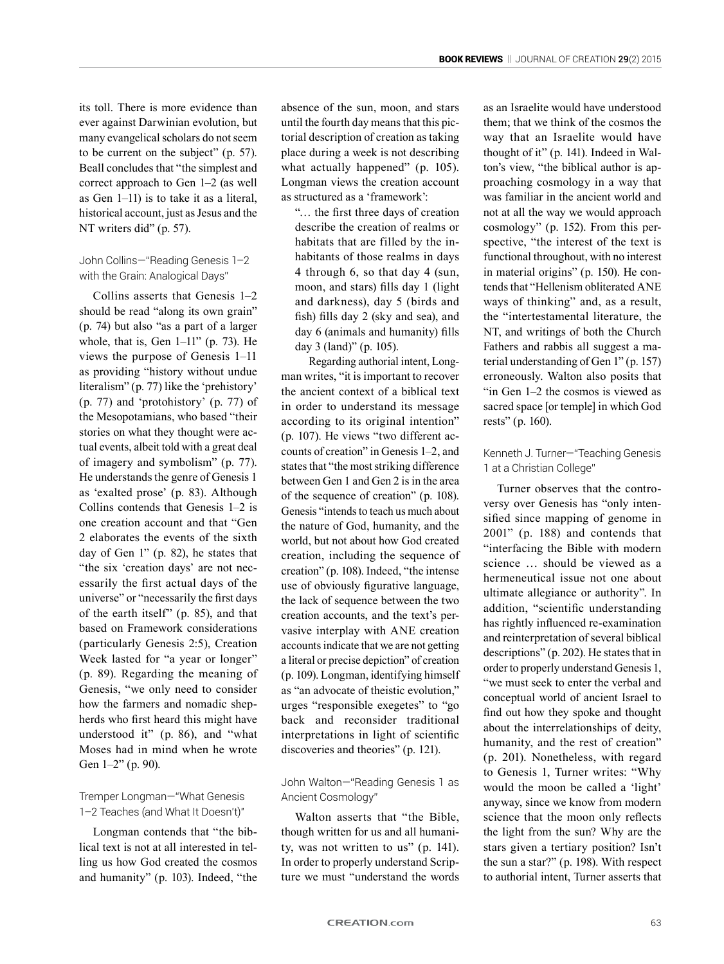its toll. There is more evidence than ever against Darwinian evolution, but many evangelical scholars do not seem to be current on the subject" (p. 57). Beall concludes that "the simplest and correct approach to Gen 1–2 (as well as Gen 1–11) is to take it as a literal, historical account, just as Jesus and the NT writers did" (p. 57).

## John Collins—"Reading Genesis 1–2 with the Grain: Analogical Days"

Collins asserts that Genesis 1–2 should be read "along its own grain" (p. 74) but also "as a part of a larger whole, that is, Gen 1–11" (p. 73). He views the purpose of Genesis 1–11 as providing "history without undue literalism" (p. 77) like the 'prehistory' (p. 77) and 'protohistory' (p. 77) of the Mesopotamians, who based "their stories on what they thought were actual events, albeit told with a great deal of imagery and symbolism" (p. 77). He understands the genre of Genesis 1 as 'exalted prose' (p. 83). Although Collins contends that Genesis 1–2 is one creation account and that "Gen 2 elaborates the events of the sixth day of Gen 1" (p. 82), he states that "the six 'creation days' are not necessarily the first actual days of the universe" or "necessarily the first days of the earth itself" (p. 85), and that based on Framework considerations (particularly Genesis 2:5), Creation Week lasted for "a year or longer" (p. 89). Regarding the meaning of Genesis, "we only need to consider how the farmers and nomadic shepherds who first heard this might have understood it" (p. 86), and "what Moses had in mind when he wrote Gen 1–2" (p. 90).

## Tremper Longman—"What Genesis 1–2 Teaches (and What It Doesn't)"

Longman contends that "the biblical text is not at all interested in telling us how God created the cosmos and humanity" (p. 103). Indeed, "the absence of the sun, moon, and stars until the fourth day means that this pictorial description of creation as taking place during a week is not describing what actually happened" (p. 105). Longman views the creation account as structured as a 'framework':

"… the first three days of creation describe the creation of realms or habitats that are filled by the inhabitants of those realms in days 4 through 6, so that day 4 (sun, moon, and stars) fills day 1 (light and darkness), day 5 (birds and fish) fills day 2 (sky and sea), and day 6 (animals and humanity) fills day 3 (land)" (p. 105).

Regarding authorial intent, Longman writes, "it is important to recover the ancient context of a biblical text in order to understand its message according to its original intention" (p. 107). He views "two different accounts of creation" in Genesis 1–2, and states that "the most striking difference between Gen 1 and Gen 2 is in the area of the sequence of creation" (p. 108). Genesis "intends to teach us much about the nature of God, humanity, and the world, but not about how God created creation, including the sequence of creation" (p. 108). Indeed, "the intense use of obviously figurative language, the lack of sequence between the two creation accounts, and the text's pervasive interplay with ANE creation accounts indicate that we are not getting a literal or precise depiction" of creation (p. 109). Longman, identifying himself as "an advocate of theistic evolution," urges "responsible exegetes" to "go back and reconsider traditional interpretations in light of scientific discoveries and theories" (p. 121).

## John Walton—"Reading Genesis 1 as Ancient Cosmology"

Walton asserts that "the Bible, though written for us and all humanity, was not written to us" (p. 141). In order to properly understand Scripture we must "understand the words as an Israelite would have understood them; that we think of the cosmos the way that an Israelite would have thought of it" (p. 141). Indeed in Walton's view, "the biblical author is approaching cosmology in a way that was familiar in the ancient world and not at all the way we would approach cosmology" (p. 152). From this perspective, "the interest of the text is functional throughout, with no interest in material origins" (p. 150). He contends that "Hellenism obliterated ANE ways of thinking" and, as a result, the "intertestamental literature, the NT, and writings of both the Church Fathers and rabbis all suggest a material understanding of Gen 1" (p. 157) erroneously. Walton also posits that "in Gen 1–2 the cosmos is viewed as sacred space [or temple] in which God rests" (p. 160).

## Kenneth J. Turner—"Teaching Genesis 1 at a Christian College"

Turner observes that the controversy over Genesis has "only intensified since mapping of genome in 2001" (p. 188) and contends that "interfacing the Bible with modern science … should be viewed as a hermeneutical issue not one about ultimate allegiance or authority". In addition, "scientific understanding has rightly influenced re-examination and reinterpretation of several biblical descriptions" (p. 202). He states that in order to properly understand Genesis 1, "we must seek to enter the verbal and conceptual world of ancient Israel to find out how they spoke and thought about the interrelationships of deity, humanity, and the rest of creation" (p. 201). Nonetheless, with regard to Genesis 1, Turner writes: "Why would the moon be called a 'light' anyway, since we know from modern science that the moon only reflects the light from the sun? Why are the stars given a tertiary position? Isn't the sun a star?" (p. 198). With respect to authorial intent, Turner asserts that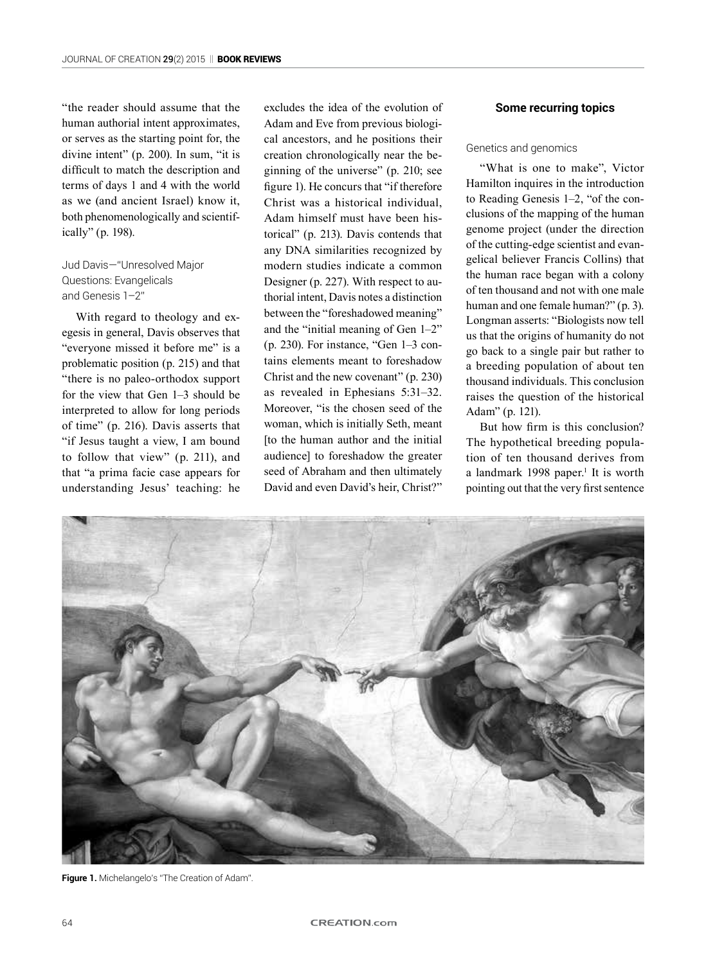"the reader should assume that the human authorial intent approximates, or serves as the starting point for, the divine intent" (p. 200). In sum, "it is difficult to match the description and terms of days 1 and 4 with the world as we (and ancient Israel) know it, both phenomenologically and scientifically" (p. 198).

# Jud Davis—"Unresolved Major Questions: Evangelicals and Genesis 1–2"

With regard to theology and exegesis in general, Davis observes that "everyone missed it before me" is a problematic position (p. 215) and that "there is no paleo-orthodox support for the view that Gen 1–3 should be interpreted to allow for long periods of time" (p. 216). Davis asserts that "if Jesus taught a view, I am bound to follow that view" (p. 211), and that "a prima facie case appears for understanding Jesus' teaching: he

excludes the idea of the evolution of Adam and Eve from previous biological ancestors, and he positions their creation chronologically near the beginning of the universe" (p. 210; see figure 1). He concurs that "if therefore Christ was a historical individual, Adam himself must have been historical" (p. 213). Davis contends that any DNA similarities recognized by modern studies indicate a common Designer (p. 227). With respect to authorial intent, Davis notes a distinction between the "foreshadowed meaning" and the "initial meaning of Gen 1–2" (p. 230). For instance, "Gen 1–3 contains elements meant to foreshadow Christ and the new covenant" (p. 230) as revealed in Ephesians 5:31–32. Moreover, "is the chosen seed of the woman, which is initially Seth, meant [to the human author and the initial audience] to foreshadow the greater seed of Abraham and then ultimately David and even David's heir, Christ?"

## **Some recurring topics**

Genetics and genomics

"What is one to make", Victor Hamilton inquires in the introduction to Reading Genesis 1–2, "of the conclusions of the mapping of the human genome project (under the direction of the cutting-edge scientist and evangelical believer Francis Collins) that the human race began with a colony of ten thousand and not with one male human and one female human?" (p. 3). Longman asserts: "Biologists now tell us that the origins of humanity do not go back to a single pair but rather to a breeding population of about ten thousand individuals. This conclusion raises the question of the historical Adam" (p. 121).

But how firm is this conclusion? The hypothetical breeding population of ten thousand derives from a landmark 1998 paper.<sup>1</sup> It is worth pointing out that the very first sentence



**Figure 1.** Michelangelo's "The Creation of Adam".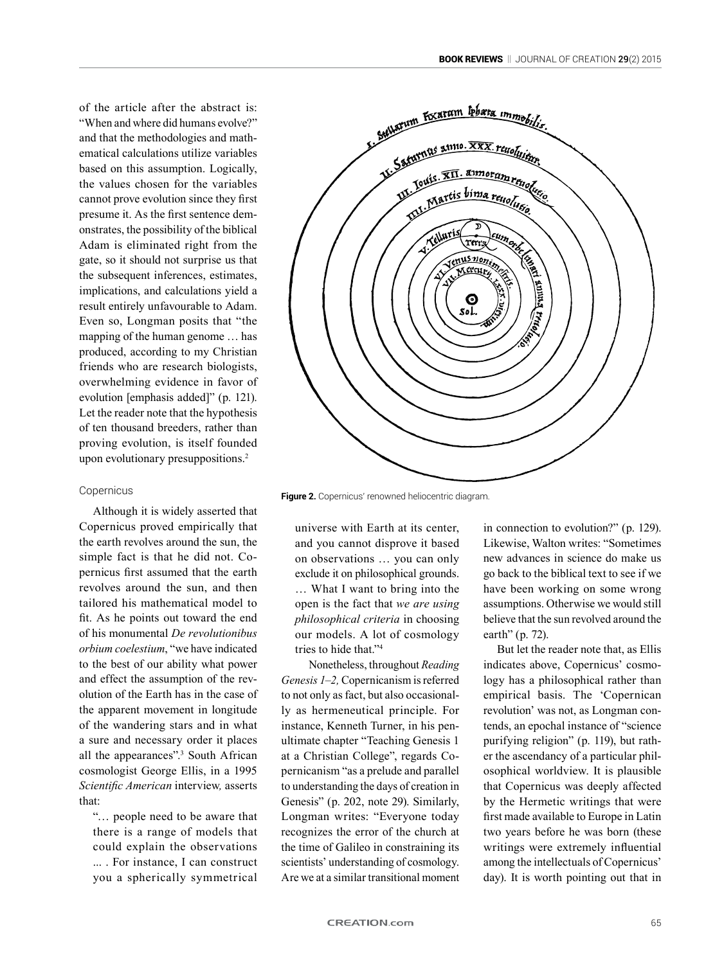of the article after the abstract is: "When and where did humans evolve?" and that the methodologies and mathematical calculations utilize variables based on this assumption. Logically, the values chosen for the variables cannot prove evolution since they first presume it. As the first sentence demonstrates, the possibility of the biblical Adam is eliminated right from the gate, so it should not surprise us that the subsequent inferences, estimates, implications, and calculations yield a result entirely unfavourable to Adam. Even so, Longman posits that "the mapping of the human genome … has produced, according to my Christian friends who are research biologists, overwhelming evidence in favor of evolution [emphasis added]" (p. 121). Let the reader note that the hypothesis of ten thousand breeders, rather than proving evolution, is itself founded upon evolutionary presuppositions.<sup>2</sup>

#### Copernicus

Although it is widely asserted that Copernicus proved empirically that the earth revolves around the sun, the simple fact is that he did not. Copernicus first assumed that the earth revolves around the sun, and then tailored his mathematical model to fit. As he points out toward the end of his monumental *De revolutionibus orbium coelestium*, "we have indicated to the best of our ability what power and effect the assumption of the revolution of the Earth has in the case of the apparent movement in longitude of the wandering stars and in what a sure and necessary order it places all the appearances".3 South African cosmologist George Ellis, in a 1995 *Scientific American* interview*,* asserts that:

"… people need to be aware that there is a range of models that could explain the observations ... . For instance, I can construct you a spherically symmetrical



**Figure 2.** Copernicus' renowned heliocentric diagram.

universe with Earth at its center, and you cannot disprove it based on observations … you can only exclude it on philosophical grounds. … What I want to bring into the open is the fact that *we are using philosophical criteria* in choosing our models. A lot of cosmology tries to hide that."4

Nonetheless, throughout *Reading Genesis 1–2,* Copernicanism is referred to not only as fact, but also occasionally as hermeneutical principle. For instance, Kenneth Turner, in his penultimate chapter "Teaching Genesis 1 at a Christian College", regards Copernicanism "as a prelude and parallel to understanding the days of creation in Genesis" (p. 202, note 29). Similarly, Longman writes: "Everyone today recognizes the error of the church at the time of Galileo in constraining its scientists' understanding of cosmology. Are we at a similar transitional moment in connection to evolution?" (p. 129). Likewise, Walton writes: "Sometimes new advances in science do make us go back to the biblical text to see if we have been working on some wrong assumptions. Otherwise we would still believe that the sun revolved around the earth" (p. 72).

But let the reader note that, as Ellis indicates above, Copernicus' cosmology has a philosophical rather than empirical basis. The 'Copernican revolution' was not, as Longman contends, an epochal instance of "science purifying religion" (p. 119), but rather the ascendancy of a particular philosophical worldview. It is plausible that Copernicus was deeply affected by the Hermetic writings that were first made available to Europe in Latin two years before he was born (these writings were extremely influential among the intellectuals of Copernicus' day). It is worth pointing out that in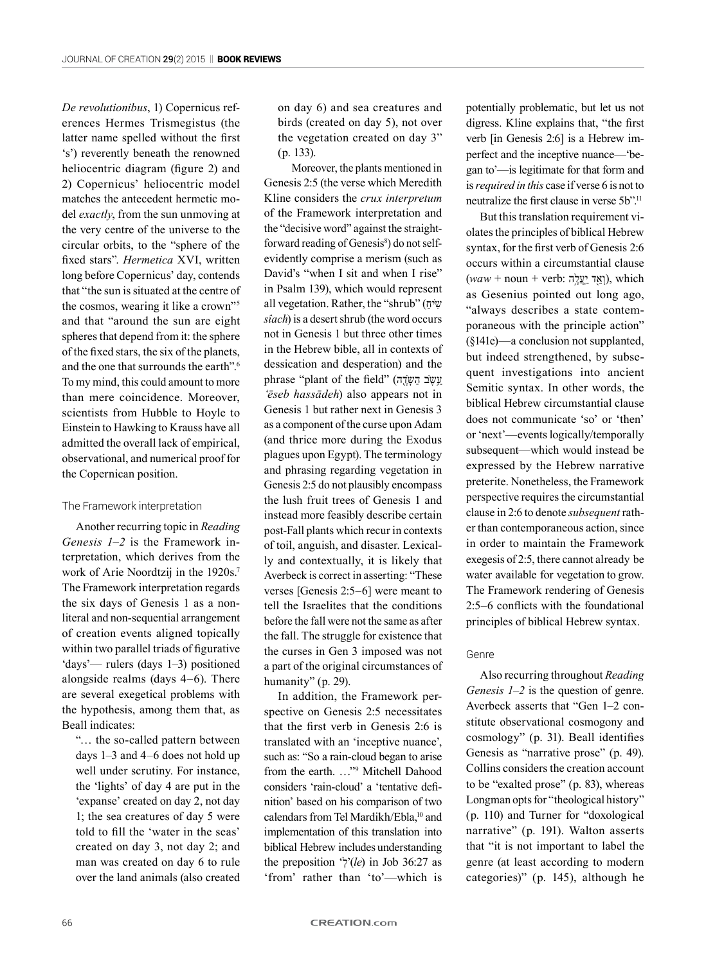*De revolutionibus*, 1) Copernicus references Hermes Trismegistus (the latter name spelled without the first 's') reverently beneath the renowned heliocentric diagram (figure 2) and 2) Copernicus' heliocentric model matches the antecedent hermetic model *exactly*, from the sun unmoving at the very centre of the universe to the circular orbits, to the "sphere of the fixed stars". *Hermetica* XVI, written long before Copernicus' day, contends that "the sun is situated at the centre of the cosmos, wearing it like a crown"5 and that "around the sun are eight spheres that depend from it: the sphere of the fixed stars, the six of the planets, and the one that surrounds the earth".6 To my mind, this could amount to more than mere coincidence. Moreover, scientists from Hubble to Hoyle to Einstein to Hawking to Krauss have all admitted the overall lack of empirical, observational, and numerical proof for the Copernican position.

#### The Framework interpretation

Another recurring topic in *Reading Genesis 1–2* is the Framework interpretation, which derives from the work of Arie Noordtzij in the 1920s.<sup>7</sup> The Framework interpretation regards the six days of Genesis 1 as a nonliteral and non-sequential arrangement of creation events aligned topically within two parallel triads of figurative 'days'— rulers (days 1–3) positioned alongside realms (days 4–6). There are several exegetical problems with the hypothesis, among them that, as Beall indicates:

"… the so-called pattern between days 1–3 and 4–6 does not hold up well under scrutiny. For instance, the 'lights' of day 4 are put in the 'expanse' created on day 2, not day 1; the sea creatures of day 5 were told to fill the 'water in the seas' created on day 3, not day 2; and man was created on day 6 to rule over the land animals (also created on day 6) and sea creatures and birds (created on day 5), not over the vegetation created on day 3" (p. 133).

Moreover, the plants mentioned in Genesis 2:5 (the verse which Meredith Kline considers the *crux interpretum* of the Framework interpretation and the "decisive word" against the straightforward reading of Genesis<sup>8</sup>) do not selfevidently comprise a merism (such as David's "when I sit and when I rise" in Psalm 139), which would represent all vegetation. Rather, the "shrub" ( $\bar{w}$ *sîach*) is a desert shrub (the word occurs not in Genesis 1 but three other times in the Hebrew bible, all in contexts of dessication and desperation) and the phrase "plant of the field" (עֵשֶׁב הַשָּׂדֶ *'ēseb hassādeh*) also appears not in Genesis 1 but rather next in Genesis 3 as a component of the curse upon Adam (and thrice more during the Exodus plagues upon Egypt). The terminology and phrasing regarding vegetation in Genesis 2:5 do not plausibly encompass the lush fruit trees of Genesis 1 and instead more feasibly describe certain post-Fall plants which recur in contexts of toil, anguish, and disaster. Lexically and contextually, it is likely that Averbeck is correct in asserting: "These verses [Genesis 2:5–6] were meant to tell the Israelites that the conditions before the fall were not the same as after the fall. The struggle for existence that the curses in Gen 3 imposed was not a part of the original circumstances of humanity" (p. 29).

In addition, the Framework perspective on Genesis 2:5 necessitates that the first verb in Genesis 2:6 is translated with an 'inceptive nuance', such as: "So a rain-cloud began to arise from the earth. …"9 Mitchell Dahood considers 'rain-cloud' a 'tentative definition' based on his comparison of two calendars from Tel Mardikh/Ebla,<sup>10</sup> and implementation of this translation into biblical Hebrew includes understanding the preposition ' $\dot{\gamma}$ '(le) in Job 36:27 as 'from' rather than 'to'—which is

potentially problematic, but let us not digress. Kline explains that, "the first verb [in Genesis 2:6] is a Hebrew imperfect and the inceptive nuance—'began to'—is legitimate for that form and is *required in this* case if verse 6 is not to neutralize the first clause in verse 5b".<sup>11</sup>

But this translation requirement violates the principles of biblical Hebrew syntax, for the first verb of Genesis 2:6 occurs within a circumstantial clause  $(waw + \text{noun} + \text{verb}:$ וְאֱד יַעֲלֶה), which as Gesenius pointed out long ago, "always describes a state contemporaneous with the principle action" (§141e)—a conclusion not supplanted, but indeed strengthened, by subsequent investigations into ancient Semitic syntax. In other words, the biblical Hebrew circumstantial clause does not communicate 'so' or 'then' or 'next'—events logically/temporally subsequent—which would instead be expressed by the Hebrew narrative preterite. Nonetheless, the Framework perspective requires the circumstantial clause in 2:6 to denote *subsequent* rather than contemporaneous action, since in order to maintain the Framework exegesis of 2:5, there cannot already be water available for vegetation to grow. The Framework rendering of Genesis 2:5–6 conflicts with the foundational principles of biblical Hebrew syntax.

#### Genre

Also recurring throughout *Reading Genesis 1–2* is the question of genre. Averbeck asserts that "Gen 1–2 constitute observational cosmogony and cosmology" (p. 31). Beall identifies Genesis as "narrative prose" (p. 49). Collins considers the creation account to be "exalted prose" (p. 83), whereas Longman opts for "theological history" (p. 110) and Turner for "doxological narrative" (p. 191). Walton asserts that "it is not important to label the genre (at least according to modern categories)" (p. 145), although he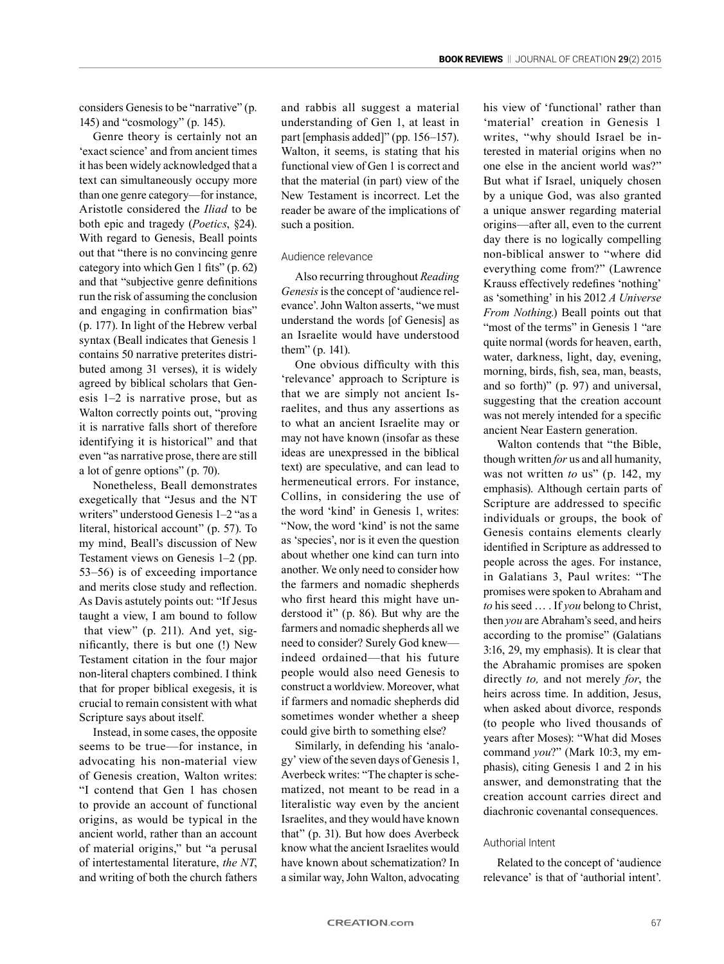considers Genesis to be "narrative" (p. 145) and "cosmology" (p. 145).

Genre theory is certainly not an 'exact science' and from ancient times it has been widely acknowledged that a text can simultaneously occupy more than one genre category—for instance, Aristotle considered the *Iliad* to be both epic and tragedy (*Poetics*, §24). With regard to Genesis, Beall points out that "there is no convincing genre category into which Gen 1 fits" (p. 62) and that "subjective genre definitions run the risk of assuming the conclusion and engaging in confirmation bias" (p. 177). In light of the Hebrew verbal syntax (Beall indicates that Genesis 1 contains 50 narrative preterites distributed among 31 verses), it is widely agreed by biblical scholars that Genesis 1–2 is narrative prose, but as Walton correctly points out, "proving it is narrative falls short of therefore identifying it is historical" and that even "as narrative prose, there are still a lot of genre options" (p. 70).

Nonetheless, Beall demonstrates exegetically that "Jesus and the NT writers" understood Genesis 1–2 "as a literal, historical account" (p. 57). To my mind, Beall's discussion of New Testament views on Genesis 1–2 (pp. 53–56) is of exceeding importance and merits close study and reflection. As Davis astutely points out: "If Jesus taught a view, I am bound to follow that view" (p. 211). And yet, significantly, there is but one (!) New Testament citation in the four major non-literal chapters combined. I think that for proper biblical exegesis, it is crucial to remain consistent with what Scripture says about itself.

Instead, in some cases, the opposite seems to be true—for instance, in advocating his non-material view of Genesis creation, Walton writes: "I contend that Gen 1 has chosen to provide an account of functional origins, as would be typical in the ancient world, rather than an account of material origins," but "a perusal of intertestamental literature, *the NT*, and writing of both the church fathers

and rabbis all suggest a material understanding of Gen 1, at least in part [emphasis added]" (pp. 156–157). Walton, it seems, is stating that his functional view of Gen 1 is correct and that the material (in part) view of the New Testament is incorrect. Let the reader be aware of the implications of such a position.

#### Audience relevance

Also recurring throughout *Reading Genesis* is the concept of 'audience relevance'. John Walton asserts, "we must understand the words [of Genesis] as an Israelite would have understood them" (p. 141).

One obvious difficulty with this 'relevance' approach to Scripture is that we are simply not ancient Israelites, and thus any assertions as to what an ancient Israelite may or may not have known (insofar as these ideas are unexpressed in the biblical text) are speculative, and can lead to hermeneutical errors. For instance, Collins, in considering the use of the word 'kind' in Genesis 1, writes: "Now, the word 'kind' is not the same as 'species', nor is it even the question about whether one kind can turn into another. We only need to consider how the farmers and nomadic shepherds who first heard this might have understood it" (p. 86). But why are the farmers and nomadic shepherds all we need to consider? Surely God knew indeed ordained—that his future people would also need Genesis to construct a worldview. Moreover, what if farmers and nomadic shepherds did sometimes wonder whether a sheep could give birth to something else?

Similarly, in defending his 'analogy' view of the seven days of Genesis 1, Averbeck writes: "The chapter is schematized, not meant to be read in a literalistic way even by the ancient Israelites, and they would have known that" (p. 31). But how does Averbeck know what the ancient Israelites would have known about schematization? In a similar way, John Walton, advocating his view of 'functional' rather than 'material' creation in Genesis 1 writes, "why should Israel be interested in material origins when no one else in the ancient world was?" But what if Israel, uniquely chosen by a unique God, was also granted a unique answer regarding material origins—after all, even to the current day there is no logically compelling non-biblical answer to "where did everything come from?" (Lawrence Krauss effectively redefines 'nothing' as 'something' in his 2012 *A Universe From Nothing.*) Beall points out that "most of the terms" in Genesis 1 "are quite normal (words for heaven, earth, water, darkness, light, day, evening, morning, birds, fish, sea, man, beasts, and so forth)" (p. 97) and universal, suggesting that the creation account was not merely intended for a specific ancient Near Eastern generation.

Walton contends that "the Bible, though written *for* us and all humanity, was not written *to* us" (p. 142, my emphasis). Although certain parts of Scripture are addressed to specific individuals or groups, the book of Genesis contains elements clearly identified in Scripture as addressed to people across the ages. For instance, in Galatians 3, Paul writes: "The promises were spoken to Abraham and *to* his seed … . If *you* belong to Christ, then *you* are Abraham's seed, and heirs according to the promise" (Galatians 3:16, 29, my emphasis). It is clear that the Abrahamic promises are spoken directly *to,* and not merely *for*, the heirs across time. In addition, Jesus, when asked about divorce, responds (to people who lived thousands of years after Moses): "What did Moses command *you*?" (Mark 10:3, my emphasis), citing Genesis 1 and 2 in his answer, and demonstrating that the creation account carries direct and diachronic covenantal consequences.

#### Authorial Intent

Related to the concept of 'audience relevance' is that of 'authorial intent'.